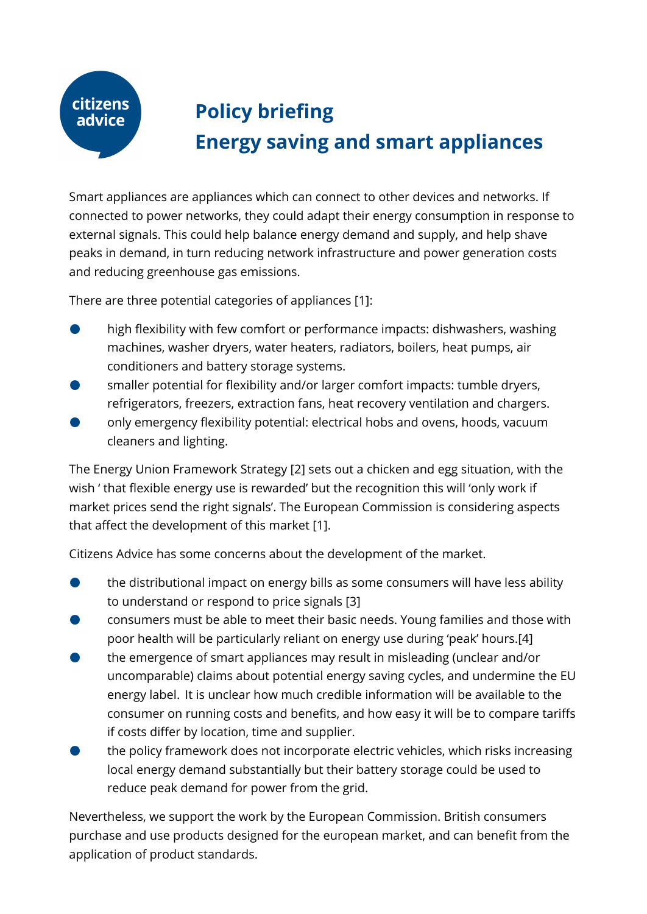## **citizens** advice

## **Policy briefing Energy saving and smart appliances**

Smart appliances are appliances which can connect to other devices and networks. If connected to power networks, they could adapt their energy consumption in response to external signals. This could help balance energy demand and supply, and help shave peaks in demand, in turn reducing network infrastructure and power generation costs and reducing greenhouse gas emissions.

There are three potential categories of appliances [1]:

- high flexibility with few comfort or performance impacts: dishwashers, washing machines, washer dryers, water heaters, radiators, boilers, heat pumps, air conditioners and battery storage systems.
- smaller potential for flexibility and/or larger comfort impacts: tumble dryers, refrigerators, freezers, extraction fans, heat recovery ventilation and chargers.
- only emergency flexibility potential: electrical hobs and ovens, hoods, vacuum cleaners and lighting.

The Energy Union Framework Strategy [2] sets out a chicken and egg situation, with the wish ' that flexible energy use is rewarded' but the recognition this will 'only work if market prices send the right signals'. The European Commission is considering aspects that affect the development of this market [1].

Citizens Advice has some concerns about the development of the market.

- the distributional impact on energy bills as some consumers will have less ability to understand or respond to price signals [3]
- consumers must be able to meet their basic needs. Young families and those with poor health will be particularly reliant on energy use during 'peak' hours.[4]
- the emergence of smart appliances may result in misleading (unclear and/or uncomparable) claims about potential energy saving cycles, and undermine the EU energy label. It is unclear how much credible information will be available to the consumer on running costs and benefits, and how easy it will be to compare tariffs if costs differ by location, time and supplier.
- the policy framework does not incorporate electric vehicles, which risks increasing local energy demand substantially but their battery storage could be used to reduce peak demand for power from the grid.

Nevertheless, we support the work by the European Commission. British consumers purchase and use products designed for the european market, and can benefit from the application of product standards.